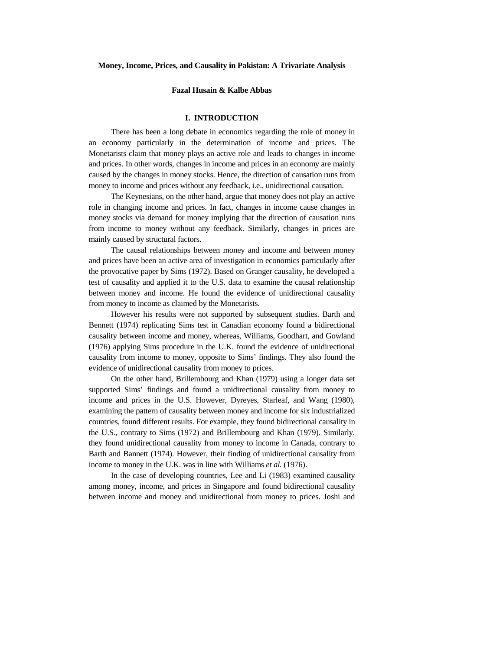#### **Money, Income, Prices, and Causality in Pakistan: A Trivariate Analysis**

## **Fazal Husain & Kalbe Abbas**

# **I. INTRODUCTION**

There has been a long debate in economics regarding the role of money in an economy particularly in the determination of income and prices. The Monetarists claim that money plays an active role and leads to changes in income and prices. In other words, changes in income and prices in an economy are mainly caused by the changes in money stocks. Hence, the direction of causation runs from money to income and prices without any feedback, i.e., unidirectional causation.

The Keynesians, on the other hand, argue that money does not play an active role in changing income and prices. In fact, changes in income cause changes in money stocks via demand for money implying that the direction of causation runs from income to money without any feedback. Similarly, changes in prices are mainly caused by structural factors.

The causal relationships between money and income and between money and prices have been an active area of investigation in economics particularly after the provocative paper by Sims (1972). Based on Granger causality, he developed a test of causality and applied it to the U.S. data to examine the causal relationship between money and income. He found the evidence of unidirectional causality from money to income as claimed by the Monetarists.

However his results were not supported by subsequent studies. Barth and Bennett (1974) replicating Sims test in Canadian economy found a bidirectional causality between income and money, whereas, Williams, Goodhart, and Gowland (1976) applying Sims procedure in the U.K. found the evidence of unidirectional causality from income to money, opposite to Sims' findings. They also found the evidence of unidirectional causality from money to prices.

On the other hand, Brillembourg and Khan (1979) using a longer data set supported Sims' findings and found a unidirectional causality from money to income and prices in the U.S. However, Dyreyes, Starleaf, and Wang (1980), examining the pattern of causality between money and income for six industrialized countries, found different results. For example, they found bidirectional causality in the U.S., contrary to Sims (1972) and Brillembourg and Khan (1979). Similarly, they found unidirectional causality from money to income in Canada, contrary to Barth and Bannett (1974). However, their finding of unidirectional causality from income to money in the U.K. was in line with Williams *et al.* (1976).

In the case of developing countries, Lee and Li (1983) examined causality among money, income, and prices in Singapore and found bidirectional causality between income and money and unidirectional from money to prices. Joshi and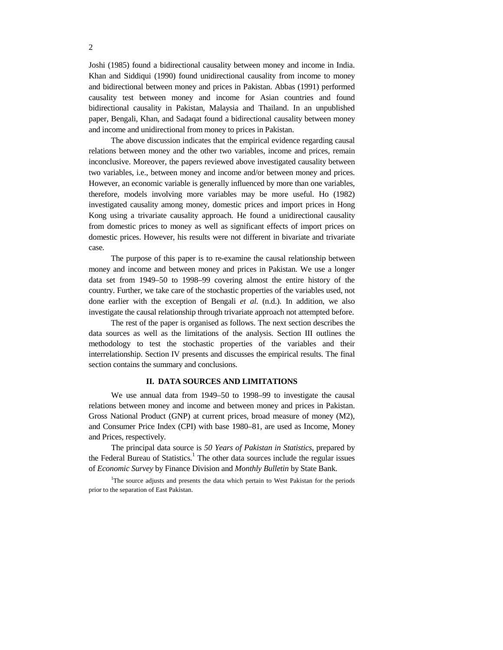Joshi (1985) found a bidirectional causality between money and income in India. Khan and Siddiqui (1990) found unidirectional causality from income to money and bidirectional between money and prices in Pakistan. Abbas (1991) performed causality test between money and income for Asian countries and found bidirectional causality in Pakistan, Malaysia and Thailand. In an unpublished paper, Bengali, Khan, and Sadaqat found a bidirectional causality between money and income and unidirectional from money to prices in Pakistan.

The above discussion indicates that the empirical evidence regarding causal relations between money and the other two variables, income and prices, remain inconclusive. Moreover, the papers reviewed above investigated causality between two variables, i.e., between money and income and/or between money and prices. However, an economic variable is generally influenced by more than one variables, therefore, models involving more variables may be more useful. Ho (1982) investigated causality among money, domestic prices and import prices in Hong Kong using a trivariate causality approach. He found a unidirectional causality from domestic prices to money as well as significant effects of import prices on domestic prices. However, his results were not different in bivariate and trivariate case.

The purpose of this paper is to re-examine the causal relationship between money and income and between money and prices in Pakistan. We use a longer data set from 1949–50 to 1998–99 covering almost the entire history of the country. Further, we take care of the stochastic properties of the variables used, not done earlier with the exception of Bengali *et al*. (n.d.). In addition, we also investigate the causal relationship through trivariate approach not attempted before.

The rest of the paper is organised as follows. The next section describes the data sources as well as the limitations of the analysis. Section III outlines the methodology to test the stochastic properties of the variables and their interrelationship. Section IV presents and discusses the empirical results. The final section contains the summary and conclusions.

## **II. DATA SOURCES AND LIMITATIONS**

We use annual data from 1949–50 to 1998–99 to investigate the causal relations between money and income and between money and prices in Pakistan. Gross National Product (GNP) at current prices, broad measure of money (M2), and Consumer Price Index (CPI) with base 1980–81, are used as Income, Money and Prices, respectively.

The principal data source is *50 Years of Pakistan in Statistics*, prepared by the Federal Bureau of Statistics.<sup>1</sup> The other data sources include the regular issues of *Economic Survey* by Finance Division and *Monthly Bulletin* by State Bank.

<sup>1</sup>The source adjusts and presents the data which pertain to West Pakistan for the periods prior to the separation of East Pakistan.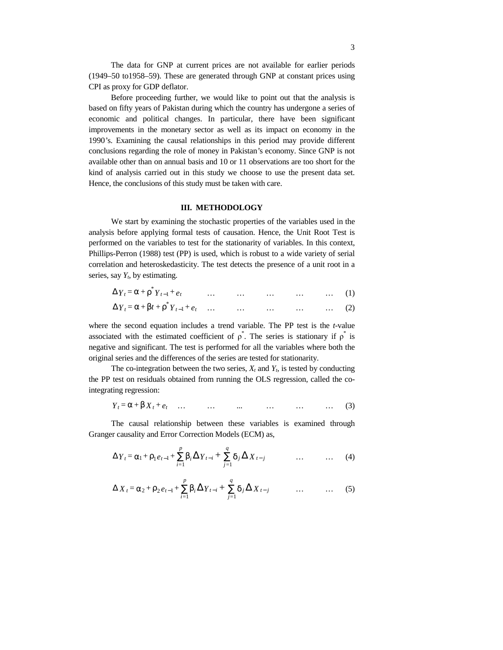The data for GNP at current prices are not available for earlier periods (1949–50 to1958–59). These are generated through GNP at constant prices using CPI as proxy for GDP deflator.

Before proceeding further, we would like to point out that the analysis is based on fifty years of Pakistan during which the country has undergone a series of economic and political changes. In particular, there have been significant improvements in the monetary sector as well as its impact on economy in the 1990*'*s. Examining the causal relationships in this period may provide different conclusions regarding the role of money in Pakistan*'*s economy. Since GNP is not available other than on annual basis and 10 or 11 observations are too short for the kind of analysis carried out in this study we choose to use the present data set. Hence, the conclusions of this study must be taken with care.

## **III. METHODOLOGY**

We start by examining the stochastic properties of the variables used in the analysis before applying formal tests of causation. Hence, the Unit Root Test is performed on the variables to test for the stationarity of variables. In this context, Phillips-Perron (1988) test (PP) is used, which is robust to a wide variety of serial correlation and heteroskedasticity. The test detects the presence of a unit root in a series, say  $Y_t$ , by estimating.

| $\Delta Y_t = \alpha + \rho^* Y_{t-1} + e_t$           | $\cdots$ | $\dots$ $\dots$ $\dots$ $\dots$ $(1)$ |     |  |
|--------------------------------------------------------|----------|---------------------------------------|-----|--|
| $\Delta Y_t = \alpha + \beta t + \rho^* Y_{t-1} + e_t$ |          |                                       | (2) |  |

where the second equation includes a trend variable. The PP test is the *t*-value associated with the estimated coefficient of  $\rho^*$ . The series is stationary if  $\rho^*$  is negative and significant. The test is performed for all the variables where both the original series and the differences of the series are tested for stationarity.

The co-integration between the two series,  $X_t$  and  $Y_t$ , is tested by conducting the PP test on residuals obtained from running the OLS regression, called the cointegrating regression:

$$
Y_t = \alpha + \beta X_t + e_t \quad \dots \quad \dots \quad \dots \quad \dots \quad \dots \quad \dots \quad (3)
$$

The causal relationship between these variables is examined through Granger causality and Error Correction Models (ECM) as,

$$
\Delta Y_t = \alpha_1 + \rho_1 e_{t-1} + \sum_{i=1}^p \beta_i \Delta Y_{t-i} + \sum_{j=1}^q \delta_j \Delta X_{t-j} \qquad \qquad \dots \qquad \dots \qquad (4)
$$

$$
\Delta X_t = \alpha_2 + \rho_2 e_{t-1} + \sum_{i=1}^p \beta_i \Delta Y_{t-i} + \sum_{j=1}^q \delta_j \Delta X_{t-j} \qquad \dots \qquad \dots \qquad (5)
$$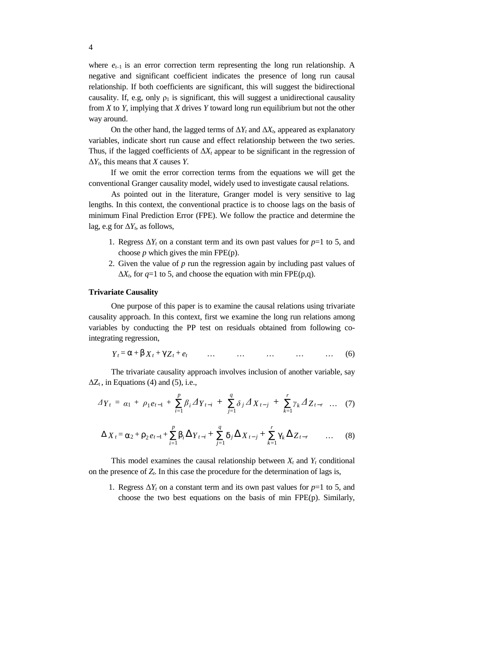where  $e_{t-1}$  is an error correction term representing the long run relationship. A negative and significant coefficient indicates the presence of long run causal relationship. If both coefficients are significant, this will suggest the bidirectional causality. If, e.g, only  $\rho_1$  is significant, this will suggest a unidirectional causality from *X* to *Y*, implying that *X* drives *Y* toward long run equilibrium but not the other way around.

On the other hand, the lagged terms of  $\Delta Y_t$  and  $\Delta X_t$ , appeared as explanatory variables, indicate short run cause and effect relationship between the two series. Thus, if the lagged coefficients of  $\Delta X_t$  appear to be significant in the regression of Δ*Yt*, this means that *X* causes *Y*.

If we omit the error correction terms from the equations we will get the conventional Granger causality model, widely used to investigate causal relations.

As pointed out in the literature, Granger model is very sensitive to lag lengths. In this context, the conventional practice is to choose lags on the basis of minimum Final Prediction Error (FPE). We follow the practice and determine the lag, e.g for  $\Delta Y_t$ , as follows,

- 1. Regress  $\Delta Y_t$  on a constant term and its own past values for  $p=1$  to 5, and choose  $p$  which gives the min FPE $(p)$ .
- 2. Given the value of *p* run the regression again by including past values of  $\Delta X_t$ , for  $q=1$  to 5, and choose the equation with min FPE(p,q).

#### **Trivariate Causality**

One purpose of this paper is to examine the causal relations using trivariate causality approach. In this context, first we examine the long run relations among variables by conducting the PP test on residuals obtained from following cointegrating regression,

$$
Y_t = \alpha + \beta X_t + \gamma Z_t + e_t \qquad \dots \qquad \dots \qquad \dots \qquad \dots \qquad \dots \qquad (6)
$$

The trivariate causality approach involves inclusion of another variable, say  $\Delta Z_t$ , in Equations (4) and (5), i.e.,

$$
\Delta Y_t = \alpha_1 + \rho_1 e_{t-1} + \sum_{i=1}^p \beta_i \Delta Y_{t-i} + \sum_{j=1}^q \delta_j \Delta X_{t-j} + \sum_{k=1}^r \gamma_k \Delta Z_{t-r} \dots (7)
$$

$$
\Delta X_{t} = \alpha_{2} + \rho_{2} e_{t-1} + \sum_{i=1}^{p} \beta_{i} \Delta Y_{t-i} + \sum_{j=1}^{q} \delta_{j} \Delta X_{t-j} + \sum_{k=1}^{r} \gamma_{k} \Delta Z_{t-r} \qquad \dots \qquad (8)
$$

This model examines the causal relationship between  $X_t$  and  $Y_t$  conditional on the presence of *Zt*. In this case the procedure for the determination of lags is,

1. Regress  $\Delta Y_t$  on a constant term and its own past values for  $p=1$  to 5, and choose the two best equations on the basis of min FPE(p). Similarly,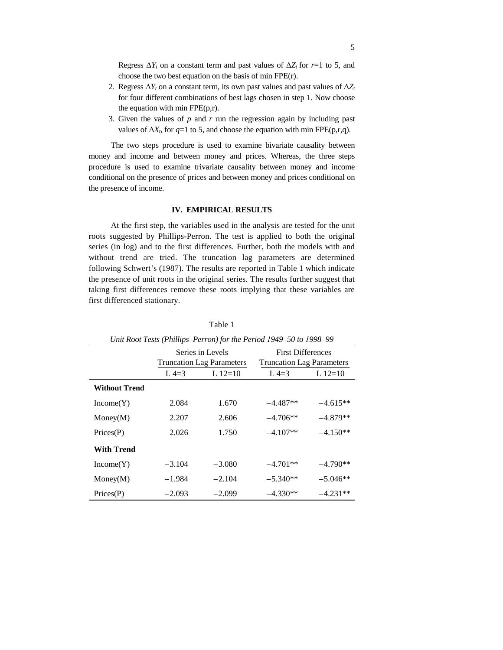Regress  $\Delta Y_t$  on a constant term and past values of  $\Delta Z_t$  for  $r=1$  to 5, and choose the two best equation on the basis of min FPE(r).

- 2. Regress  $\Delta Y_t$  on a constant term, its own past values and past values of  $\Delta Z_t$ for four different combinations of best lags chosen in step 1. Now choose the equation with min FPE(p,r).
- 3. Given the values of *p* and *r* run the regression again by including past values of  $\Delta X_t$ , for  $q=1$  to 5, and choose the equation with min FPE(p,r,q).

The two steps procedure is used to examine bivariate causality between money and income and between money and prices. Whereas, the three steps procedure is used to examine trivariate causality between money and income conditional on the presence of prices and between money and prices conditional on the presence of income.

## **IV. EMPIRICAL RESULTS**

At the first step, the variables used in the analysis are tested for the unit roots suggested by Phillips-Perron. The test is applied to both the original series (in log) and to the first differences. Further, both the models with and without trend are tried. The truncation lag parameters are determined following Schwert*'*s (1987). The results are reported in Table 1 which indicate the presence of unit roots in the original series. The results further suggest that taking first differences remove these roots implying that these variables are first differenced stationary.

| Unit Root Tests (Phillips–Perron) for the Period 1949–50 to 1998–99 |          |                                                      |                                                              |            |  |  |
|---------------------------------------------------------------------|----------|------------------------------------------------------|--------------------------------------------------------------|------------|--|--|
|                                                                     |          | Series in Levels<br><b>Truncation Lag Parameters</b> | <b>First Differences</b><br><b>Truncation Lag Parameters</b> |            |  |  |
|                                                                     | $L$ 4=3  | L $12=10$                                            | $L$ 4=3                                                      | L $12=10$  |  |  |
| <b>Without Trend</b>                                                |          |                                                      |                                                              |            |  |  |
| Income(Y)                                                           | 2.084    | 1.670                                                | $-4.487**$                                                   | $-4.615**$ |  |  |
| Money(M)                                                            | 2.207    | 2.606                                                | $-4.706**$                                                   | $-4.879**$ |  |  |
| $\text{Prices}(P)$                                                  | 2.026    | 1.750                                                | $-4.107**$                                                   | $-4.150**$ |  |  |
| With Trend                                                          |          |                                                      |                                                              |            |  |  |
| Income(Y)                                                           | $-3.104$ | $-3.080$                                             | $-4.701**$                                                   | $-4.790**$ |  |  |
| Money(M)                                                            | $-1.984$ | $-2.104$                                             | $-5.340**$                                                   | $-5.046**$ |  |  |
| $\text{Prices}(P)$                                                  | $-2.093$ | $-2.099$                                             | $-4.330**$                                                   | $-4.231**$ |  |  |

Table 1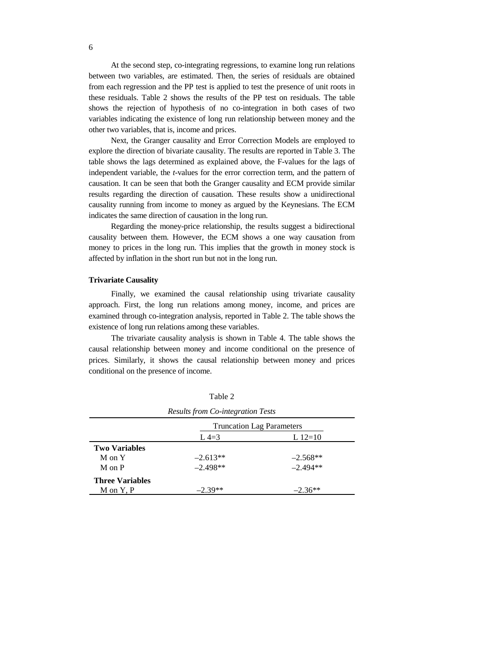At the second step, co-integrating regressions, to examine long run relations between two variables, are estimated. Then, the series of residuals are obtained from each regression and the PP test is applied to test the presence of unit roots in these residuals. Table 2 shows the results of the PP test on residuals. The table shows the rejection of hypothesis of no co-integration in both cases of two variables indicating the existence of long run relationship between money and the other two variables, that is, income and prices.

Next, the Granger causality and Error Correction Models are employed to explore the direction of bivariate causality. The results are reported in Table 3. The table shows the lags determined as explained above, the F-values for the lags of independent variable, the *t*-values for the error correction term, and the pattern of causation. It can be seen that both the Granger causality and ECM provide similar results regarding the direction of causation. These results show a unidirectional causality running from income to money as argued by the Keynesians. The ECM indicates the same direction of causation in the long run.

Regarding the money-price relationship, the results suggest a bidirectional causality between them. However, the ECM shows a one way causation from money to prices in the long run. This implies that the growth in money stock is affected by inflation in the short run but not in the long run.

#### **Trivariate Causality**

Finally, we examined the causal relationship using trivariate causality approach. First, the long run relations among money, income, and prices are examined through co-integration analysis, reported in Table 2. The table shows the existence of long run relations among these variables.

The trivariate causality analysis is shown in Table 4. The table shows the causal relationship between money and income conditional on the presence of prices. Similarly, it shows the causal relationship between money and prices conditional on the presence of income.

| <b>Results from Co-integration Tests</b> |                                  |            |  |  |  |
|------------------------------------------|----------------------------------|------------|--|--|--|
|                                          | <b>Truncation Lag Parameters</b> |            |  |  |  |
|                                          | $L$ 4=3                          | L $12=10$  |  |  |  |
| <b>Two Variables</b>                     |                                  |            |  |  |  |
| M on Y                                   | $-2.613**$                       | $-2.568**$ |  |  |  |
| M on P                                   | $-2.498**$                       | $-2.494**$ |  |  |  |
| <b>Three Variables</b>                   |                                  |            |  |  |  |
| M on Y, P                                | $-2.39**$                        | $-2.36**$  |  |  |  |

Table 2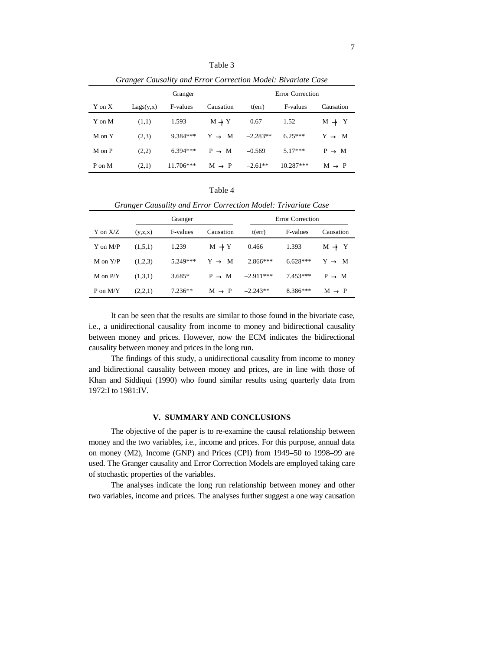| Granger Causality and Error Correction Model: Bivariate Case |           |             |                   |                         |             |                   |
|--------------------------------------------------------------|-----------|-------------|-------------------|-------------------------|-------------|-------------------|
|                                                              | Granger   |             |                   | <b>Error Correction</b> |             |                   |
| Y on X                                                       | Lags(y,x) | F-values    | Causation         | t(err)                  | F-values    | Causation         |
| Y on M                                                       | (1,1)     | 1.593       | $M \rightarrow Y$ | $-0.67$                 | 1.52        | $M \rightarrow Y$ |
| M on Y                                                       | (2,3)     | $9.384***$  | $Y \rightarrow M$ | $-2.283**$              | $6.25***$   | $Y \rightarrow M$ |
| M on P                                                       | (2,2)     | $6.394***$  | $P \rightarrow M$ | $-0.569$                | $5.17***$   | $P \rightarrow M$ |
| P on M                                                       | (2,1)     | $11.706***$ | $M \rightarrow P$ | $-2.61**$               | $10.287***$ | $M \rightarrow P$ |

Table 3

| Table 4                                                       |         |                 |                   |             |                         |                   |  |  |
|---------------------------------------------------------------|---------|-----------------|-------------------|-------------|-------------------------|-------------------|--|--|
| Granger Causality and Error Correction Model: Trivariate Case |         |                 |                   |             |                         |                   |  |  |
|                                                               | Granger |                 |                   |             | <b>Error Correction</b> |                   |  |  |
| Y on $X/Z$                                                    | (y,z,x) | <b>F-values</b> | Causation         | t(err)      | <b>F-values</b>         | Causation         |  |  |
| $Y$ on $M/P$                                                  | (1,5,1) | 1.239           | $M \rightarrow Y$ | 0.466       | 1.393                   | $M \rightarrow Y$ |  |  |
| $M$ on $Y/P$                                                  | (1,2,3) | $5.249***$      | $Y \rightarrow M$ | $-2.866***$ | $6.628***$              | $Y \rightarrow M$ |  |  |
| $M$ on $P/Y$                                                  | (1,3,1) | $3.685*$        | $P \rightarrow M$ | $-2.911***$ | $7.453***$              | $P \rightarrow M$ |  |  |

It can be seen that the results are similar to those found in the bivariate case, i.e., a unidirectional causality from income to money and bidirectional causality between money and prices. However, now the ECM indicates the bidirectional causality between money and prices in the long run.

P on M/Y (2,2,1)  $7.236**$  M  $\rightarrow$  P  $-2.243**$  8.386\*\*\* M  $\rightarrow$  P

The findings of this study, a unidirectional causality from income to money and bidirectional causality between money and prices, are in line with those of Khan and Siddiqui (1990) who found similar results using quarterly data from 1972:I to 1981:IV.

#### **V. SUMMARY AND CONCLUSIONS**

The objective of the paper is to re-examine the causal relationship between money and the two variables, i.e., income and prices. For this purpose, annual data on money (M2), Income (GNP) and Prices (CPI) from 1949–50 to 1998–99 are used. The Granger causality and Error Correction Models are employed taking care of stochastic properties of the variables.

The analyses indicate the long run relationship between money and other two variables, income and prices. The analyses further suggest a one way causation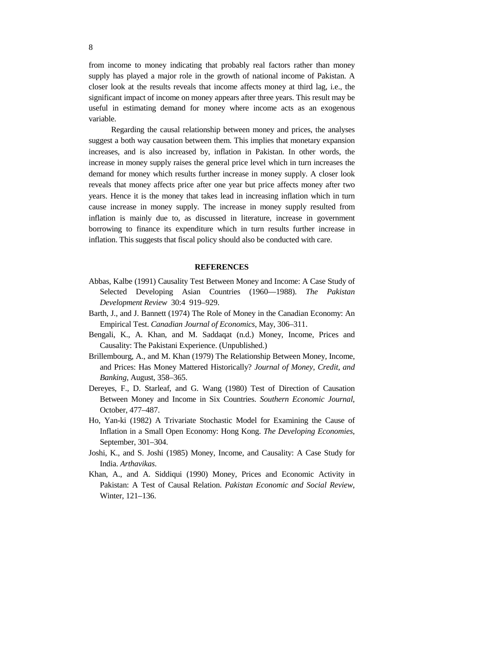from income to money indicating that probably real factors rather than money supply has played a major role in the growth of national income of Pakistan. A closer look at the results reveals that income affects money at third lag, i.e., the significant impact of income on money appears after three years. This result may be useful in estimating demand for money where income acts as an exogenous variable.

Regarding the causal relationship between money and prices, the analyses suggest a both way causation between them. This implies that monetary expansion increases, and is also increased by, inflation in Pakistan. In other words, the increase in money supply raises the general price level which in turn increases the demand for money which results further increase in money supply. A closer look reveals that money affects price after one year but price affects money after two years. Hence it is the money that takes lead in increasing inflation which in turn cause increase in money supply. The increase in money supply resulted from inflation is mainly due to, as discussed in literature, increase in government borrowing to finance its expenditure which in turn results further increase in inflation. This suggests that fiscal policy should also be conducted with care.

#### **REFERENCES**

- Abbas, Kalbe (1991) Causality Test Between Money and Income: A Case Study of Selected Developing Asian Countries (1960—1988). *The Pakistan Development Review* 30:4 919–929.
- Barth, J., and J. Bannett (1974) The Role of Money in the Canadian Economy: An Empirical Test. *Canadian Journal of Economics*, May, 306–311.
- Bengali, K., A. Khan, and M. Saddaqat (n.d.) Money, Income, Prices and Causality: The Pakistani Experience. (Unpublished.)
- Brillembourg, A., and M. Khan (1979) The Relationship Between Money, Income, and Prices: Has Money Mattered Historically? *Journal of Money, Credit, and Banking*, August, 358–365.
- Dereyes, F., D. Starleaf, and G. Wang (1980) Test of Direction of Causation Between Money and Income in Six Countries. *Southern Economic Journal*, October, 477–487.
- Ho, Yan-ki (1982) A Trivariate Stochastic Model for Examining the Cause of Inflation in a Small Open Economy: Hong Kong. *The Developing Economies*, September, 301–304.
- Joshi, K., and S. Joshi (1985) Money, Income, and Causality: A Case Study for India. *Arthavikas*.
- Khan, A., and A. Siddiqui (1990) Money, Prices and Economic Activity in Pakistan: A Test of Causal Relation. *Pakistan Economic and Social Review*, Winter, 121–136.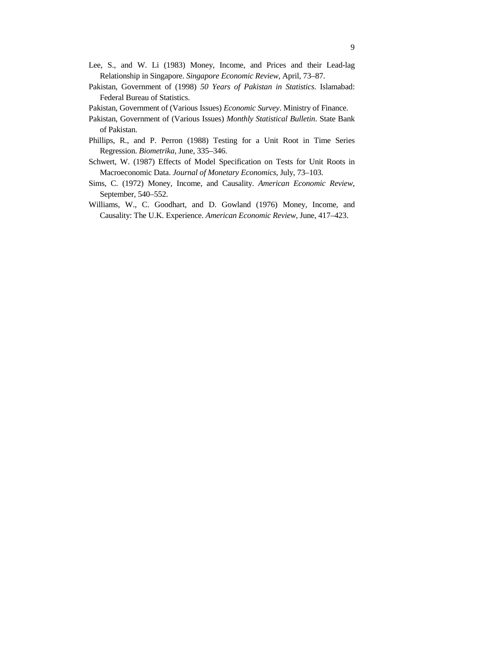- Lee, S., and W. Li (1983) Money, Income, and Prices and their Lead-lag Relationship in Singapore. *Singapore Economic Review*, April, 73–87.
- Pakistan, Government of (1998) *50 Years of Pakistan in Statistics*. Islamabad: Federal Bureau of Statistics.
- Pakistan, Government of (Various Issues) *Economic Survey*. Ministry of Finance.
- Pakistan, Government of (Various Issues) *Monthly Statistical Bulletin*. State Bank of Pakistan.
- Phillips, R., and P. Perron (1988) Testing for a Unit Root in Time Series Regression. *Biometrika*, June, 335–346.
- Schwert, W. (1987) Effects of Model Specification on Tests for Unit Roots in Macroeconomic Data. *Journal of Monetary Economics*, July, 73–103.
- Sims, C. (1972) Money, Income, and Causality. *American Economic Review*, September, 540–552.
- Williams, W., C. Goodhart, and D. Gowland (1976) Money, Income, and Causality: The U.K. Experience. *American Economic Review*, June, 417–423.